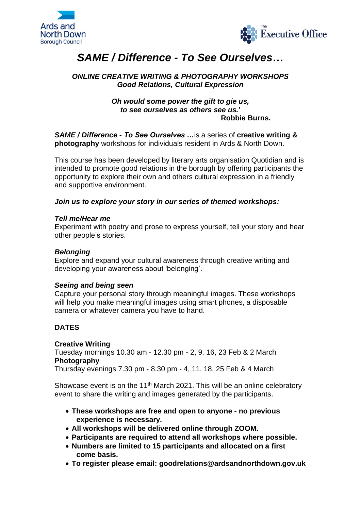



# *SAME / Difference - To See Ourselves…*

# *ONLINE CREATIVE WRITING & PHOTOGRAPHY WORKSHOPS Good Relations, Cultural Expression*

#### *Oh would some power the gift to gie us, to see ourselves as others see us.***' Robbie Burns.**

*SAME / Difference - To See Ourselves …*is a series of **creative writing & photography** workshops for individuals resident in Ards & North Down.

This course has been developed by literary arts organisation Quotidian and is intended to promote good relations in the borough by offering participants the opportunity to explore their own and others cultural expression in a friendly and supportive environment.

### *Join us to explore your story in our series of themed workshops:*

#### *Tell me/Hear me*

Experiment with poetry and prose to express yourself, tell your story and hear other people's stories.

### *Belonging*

Explore and expand your cultural awareness through creative writing and developing your awareness about 'belonging'.

### *Seeing and being seen*

Capture your personal story through meaningful images. These workshops will help you make meaningful images using smart phones, a disposable camera or whatever camera you have to hand.

### **DATES**

#### **Creative Writing**

Tuesday mornings 10.30 am - 12.30 pm - 2, 9, 16, 23 Feb & 2 March **Photography**

Thursday evenings 7.30 pm - 8.30 pm - 4, 11, 18, 25 Feb & 4 March

Showcase event is on the 11<sup>th</sup> March 2021. This will be an online celebratory event to share the writing and images generated by the participants.

- **These workshops are free and open to anyone - no previous experience is necessary.**
- **All workshops will be delivered online through ZOOM.**
- **Participants are required to attend all workshops where possible.**
- **Numbers are limited to 15 participants and allocated on a first come basis.**
- **To register please email: goodrelations@ardsandnorthdown.gov.uk**